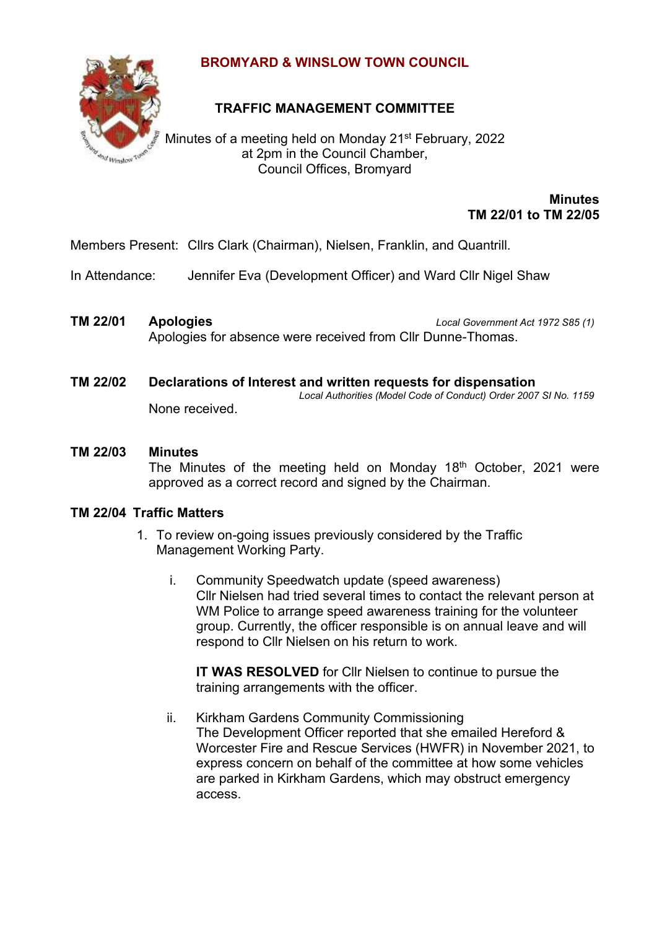

## **BROMYARD & WINSLOW TOWN COUNCIL**

# **TRAFFIC MANAGEMENT COMMITTEE**

Minutes of a meeting held on Monday 21<sup>st</sup> February, 2022 at 2pm in the Council Chamber, Council Offices, Bromyard

> **Minutes TM 22/01 to TM 22/05**

Members Present: Cllrs Clark (Chairman), Nielsen, Franklin, and Quantrill.

In Attendance: Jennifer Eva (Development Officer) and Ward Cllr Nigel Shaw

- **TM 22/01 Apologies** *Local Government Act 1972 S85 (1)* Apologies for absence were received from Cllr Dunne-Thomas.
- **TM 22/02 Declarations of Interest and written requests for dispensation** *Local Authorities (Model Code of Conduct) Order 2007 SI No. 1159* None received.
- **TM 22/03 Minutes**

The Minutes of the meeting held on Monday 18<sup>th</sup> October, 2021 were approved as a correct record and signed by the Chairman.

### **TM 22/04 Traffic Matters**

- 1. To review on-going issues previously considered by the Traffic Management Working Party.
	- i. Community Speedwatch update (speed awareness) Cllr Nielsen had tried several times to contact the relevant person at WM Police to arrange speed awareness training for the volunteer group. Currently, the officer responsible is on annual leave and will respond to Cllr Nielsen on his return to work.

**IT WAS RESOLVED** for Cllr Nielsen to continue to pursue the training arrangements with the officer.

ii. Kirkham Gardens Community Commissioning The Development Officer reported that she emailed Hereford & Worcester Fire and Rescue Services (HWFR) in November 2021, to express concern on behalf of the committee at how some vehicles are parked in Kirkham Gardens, which may obstruct emergency access.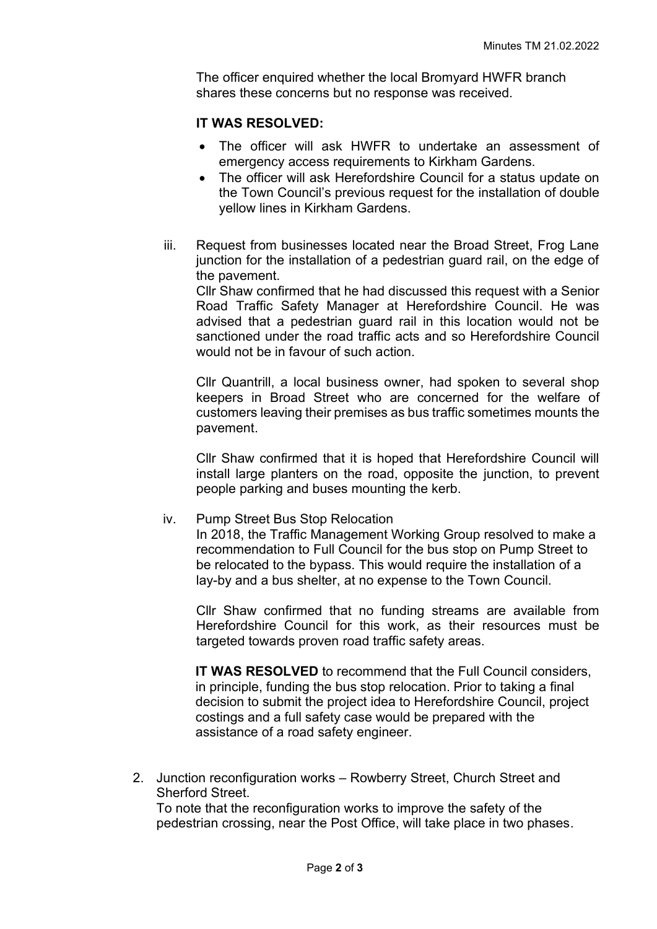The officer enquired whether the local Bromyard HWFR branch shares these concerns but no response was received.

#### **IT WAS RESOLVED:**

- The officer will ask HWFR to undertake an assessment of emergency access requirements to Kirkham Gardens.
- The officer will ask Herefordshire Council for a status update on the Town Council's previous request for the installation of double yellow lines in Kirkham Gardens.
- iii. Request from businesses located near the Broad Street, Frog Lane junction for the installation of a pedestrian guard rail, on the edge of the pavement.

Cllr Shaw confirmed that he had discussed this request with a Senior Road Traffic Safety Manager at Herefordshire Council. He was advised that a pedestrian guard rail in this location would not be sanctioned under the road traffic acts and so Herefordshire Council would not be in favour of such action.

Cllr Quantrill, a local business owner, had spoken to several shop keepers in Broad Street who are concerned for the welfare of customers leaving their premises as bus traffic sometimes mounts the pavement.

Cllr Shaw confirmed that it is hoped that Herefordshire Council will install large planters on the road, opposite the junction, to prevent people parking and buses mounting the kerb.

#### iv. Pump Street Bus Stop Relocation

In 2018, the Traffic Management Working Group resolved to make a recommendation to Full Council for the bus stop on Pump Street to be relocated to the bypass. This would require the installation of a lay-by and a bus shelter, at no expense to the Town Council.

Cllr Shaw confirmed that no funding streams are available from Herefordshire Council for this work, as their resources must be targeted towards proven road traffic safety areas.

**IT WAS RESOLVED** to recommend that the Full Council considers, in principle, funding the bus stop relocation. Prior to taking a final decision to submit the project idea to Herefordshire Council, project costings and a full safety case would be prepared with the assistance of a road safety engineer.

2. Junction reconfiguration works – Rowberry Street, Church Street and Sherford Street. To note that the reconfiguration works to improve the safety of the pedestrian crossing, near the Post Office, will take place in two phases.